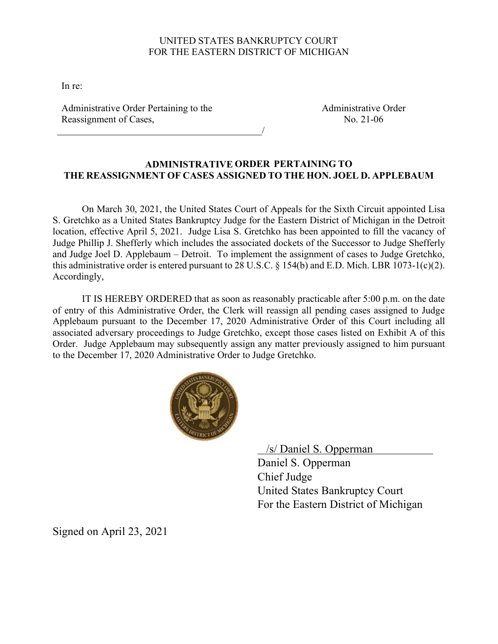## UNITED STATES BANKRUPTCY COURT FOR THE EASTERN DISTRICT OF MICHIGAN

In re:

Administrative Order Pertaining to the Reassignment of Cases,

Administrative Order No. 21-06

## **ADMINISTRATIVE ORDER PERTAINING TO THE REASSIGNMENT OF CASES ASSIGNED TO THE HON. JOEL D. APPLEBAUM**

/

On March 30, 2021, the United States Court of Appeals for the Sixth Circuit appointed Lisa S. Gretchko as a United States Bankruptcy Judge for the Eastern District of Michigan in the Detroit location, effective April 5, 2021. Judge Lisa S. Gretchko has been appointed to fill the vacancy of Judge Phillip J. Shefferly which includes the associated dockets of the Successor to Judge Shefferly and Judge Joel D. Applebaum – Detroit. To implement the assignment of cases to Judge Gretchko, this administrative order is entered pursuant to 28 U.S.C. § 154(b) and E.D. Mich. LBR 1073-1(c)(2). Accordingly,

IT IS HEREBY ORDERED that as soon as reasonably practicable after 5:00 p.m. on the date of entry of this Administrative Order, the Clerk will reassign all pending cases assigned to Judge Applebaum pursuant to the December 17, 2020 Administrative Order of this Court including all associated adversary proceedings to Judge Gretchko, except those cases listed on Exhibit A of this Order. Judge Applebaum may subsequently assign any matter previously assigned to him pursuant to the December 17, 2020 Administrative Order to Judge Gretchko.



/s/ Daniel S. Opperman

Daniel S. Opperman Chief Judge United States Bankruptcy Court For the Eastern District of Michigan

Signed on April 23, 2021